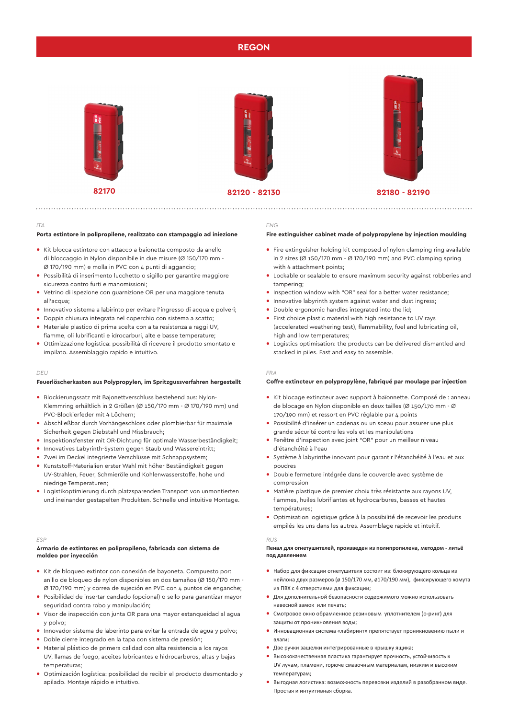# **REGON**







**82170 82120 - 82130 82180 - 82190**

## *ITA*

#### **Porta estintore in polipropilene, realizzato con stampaggio ad iniezione**

- **•** Kit blocca estintore con attacco a baionetta composto da anello di bloccaggio in Nylon disponibile in due misure (Ø 150/170 mm - Ø 170/190 mm) e molla in PVC con 4 punti di aggancio;
- **•** Possibilità di inserimento lucchetto o sigillo per garantire maggiore sicurezza contro furti e manomissioni;
- **•** Vetrino di ispezione con guarnizione OR per una maggiore tenuta all'acqua;
- **•** Innovativo sistema a labirinto per evitare l'ingresso di acqua e polveri;
- **•** Doppia chiusura integrata nel coperchio con sistema a scatto;
- **•** Materiale plastico di prima scelta con alta resistenza a raggi UV, fiamme, oli lubrificanti e idrocarburi, alte e basse temperature;
- **•** Ottimizzazione logistica: possibilità di ricevere il prodotto smontato e impilato. Assemblaggio rapido e intuitivo.

#### *DEU*

## **Feuerlöscherkasten aus Polypropylen, im Spritzgussverfahren hergestellt**

- **•** Blockierungssatz mit Bajonettverschluss bestehend aus: Nylon-Klemmring erhältlich in 2 Größen (Ø 150/170 mm - Ø 170/190 mm) und PVC-Blockierfeder mit 4 Löchern;
- **•** Abschließbar durch Vorhängeschloss oder plombierbar für maximale Sicherheit gegen Diebstahl und Missbrauch;
- **•** Inspektionsfenster mit OR-Dichtung für optimale Wasserbeständigkeit;
- **•** Innovatives Labyrinth-System gegen Staub und Wassereintritt;
- **•** Zwei im Deckel integrierte Verschlüsse mit Schnappsystem;
- **•** Kunststoff-Materialien erster Wahl mit höher Beständigkeit gegen UV-Strahlen, Feuer, Schmieröle und Kohlenwasserstoffe, hohe und niedrige Temperaturen;
- **•** Logistikoptimierung durch platzsparenden Transport von unmontierten und ineinander gestapelten Produkten. Schnelle und intuitive Montage.

#### *ESP*

## **Armario de extintores en polipropileno, fabricada con sistema de moldeo por inyección**

- **•** Kit de bloqueo extintor con conexión de bayoneta. Compuesto por: anillo de bloqueo de nylon disponibles en dos tamaños (Ø 150/170 mm - Ø 170/190 mm) y correa de sujeción en PVC con 4 puntos de enganche;
- **•** Posibilidad de insertar candado (opcional) o sello para garantizar mayor seguridad contra robo y manipulación;
- **•** Visor de inspección con junta OR para una mayor estanqueidad al agua y polvo;
- **•** Innovador sistema de laberinto para evitar la entrada de agua y polvo;
- **•** Doble cierre integrado en la tapa con sistema de presión;
- **•** Material plástico de primera calidad con alta resistencia a los rayos UV, llamas de fuego, aceites lubricantes e hidrocarburos, altas y bajas temperaturas;
- **•** Optimización logística: posibilidad de recibir el producto desmontado y apilado. Montaje rápido e intuitivo.

# *ENG*

#### **Fire extinguisher cabinet made of polypropylene by injection moulding**

- **•** Fire extinguisher holding kit composed of nylon clamping ring available in 2 sizes ( $\varnothing$  150/170 mm -  $\varnothing$  170/190 mm) and PVC clamping spring with 4 attachment points;
- **•** Lockable or sealable to ensure maximum security against robberies and tampering;
- **•** Inspection window with "OR" seal for a better water resistance;
- **•** Innovative labyrinth system against water and dust ingress;
- **•** Double ergonomic handles integrated into the lid;
- **•** First choice plastic material with high resistance to UV rays (accelerated weathering test), flammability, fuel and lubricating oil, high and low temperatures:
- **•** Logistics optimisation: the products can be delivered dismantled and stacked in piles. Fast and easy to assemble.

#### *FRA*

# **Coffre extincteur en polypropylène, fabriqué par moulage par injection**

- **•** Kit blocage extincteur avec support à baïonnette. Composé de : anneau de blocage en Nylon disponible en deux tailles (Ø 150/170 mm - Ø 170/190 mm) et ressort en PVC réglable par 4 points
- **•** Possibilité d'insérer un cadenas ou un sceau pour assurer une plus grande sécurité contre les vols et les manipulations
- **•** Fenêtre d'inspection avec joint "OR" pour un meilleur niveau d'étanchéité à l'eau
- **•** Système à labyrinthe innovant pour garantir l'étanchéité à l'eau et aux poudres
- **•** Double fermeture intégrée dans le couvercle avec système de compression
- **•** Matière plastique de premier choix très résistante aux rayons UV, flammes, huiles lubrifiantes et hydrocarbures, basses et hautes températures;
- **•** Optimisation logistique grâce à la possibilité de recevoir les produits empilés les uns dans les autres. Assemblage rapide et intuitif.

#### *RUS*

## **Пенал для огнетушителей, произведен из полипропилена, методом - литьё под давлением**

- **•** Набор для фиксации огнетушителя состоит из: блокирующего кольца из нейлона двух размеров (ø 150/170 мм, ø170/190 мм), фиксирующего хомута из ПВХ с 4 отверстиями для фиксации;
- **•** Для дополнительной безопасности содержимого можно использовать навесной замок или печать;
- **•** Смотровое окно обрамленное резиновым уплотнителем (о-ринг) для защиты от проникновения воды;
- **•** Инновационная система «лабиринт» препятствует проникновению пыли и влаги;
- **•** Две ручки защелки интегрированные в крышку ящика;
- **•** Высококачественная пластика гарантирует прочность, устойчивость к UV лучам, пламени, горюче смазочным материалам, низким и высоким температурам;
- **•** Выгодная логистика: возможность перевозки изделий в разобранном виде. Простая и интуитивная сборка.

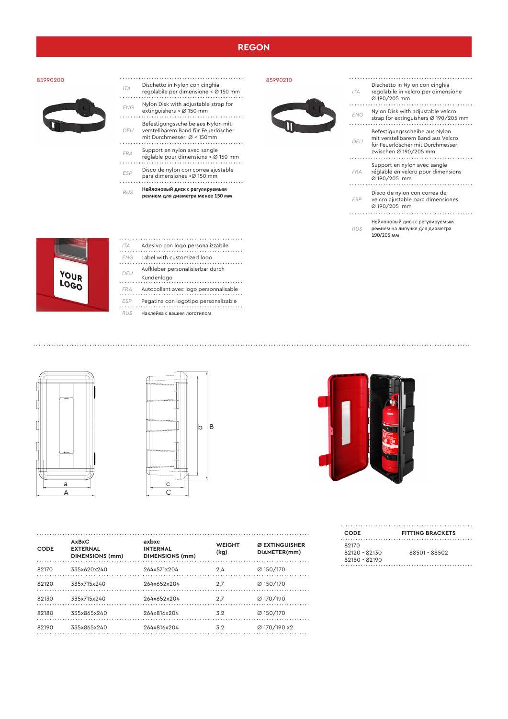# **REGON**

# 85990200

- 
- *ITA* Dischetto in Nylon con cinghia regolabile per dimensione < Ø 150 mm
	- *ENG* Nylon Disk with adjustable strap for extinguishers < Ø 150 mm
	-
	- *DEU* verstellbarem Band für Feuerlöscher mit Durchmesser Ø < 150mm Befestigungsscheibe aus Nylon mit
	-
	- *FRA* Support en nylon avec sangle réglable pour dimensions < Ø 150 mm
	- *ESP* Disco de nylon con correa ajustable
	- para dimensiones <Ø 150 mm
	- *RUS* **Нейлоновый диск с регулируемым ремнем для диаметра менее 150 мм**

85990210



| <b>ITA</b> | Dischetto in Nylon con cinghia<br>regolabile in velcro per dimensione<br>Ø 190/205 mm                                           |
|------------|---------------------------------------------------------------------------------------------------------------------------------|
| <b>FNG</b> | Nylon Disk with adjustable velcro<br>strap for extinguishers Ø 190/205 mm                                                       |
| DEU        | Befestigungsscheibe aus Nylon<br>mit verstellbarem Band aus Velcro<br>für Feuerlöscher mit Durchmesser<br>zwischen Ø 190/205 mm |
| <b>FRA</b> | Support en nylon avec sangle<br>réglable en velcro pour dimensions<br>Ø 190/205 mm                                              |
| <b>ESP</b> | Disco de nylon con correa de<br>velcro ajustable para dimensiones<br>Ø 190/205 mm                                               |
| <b>RUS</b> | Нейлоновый диск с регулируемым<br>ремнем на липучке для диаметра<br>190/205 MM                                                  |



A

a

|  | ITA | Adesivo con logo personalizzabile     |
|--|-----|---------------------------------------|
|  | ENG | Label with customized logo            |
|  |     | Aufkleber personalisierbar durch      |
|  | DEU | Kundenlogo                            |
|  | FRA | Autocollant avec logo personnalisable |
|  | ESP | Pegatina con logotipo personalizable  |
|  |     | Наклейка с вашим логотипом            |

*DEU* Aufkleber personalisierbar durch . . . . . . . . . . . . . p<br>**FRA** Autocol<br>Transland avec logo personnels *E*<br>. . . . . . . . . . . . . . *RUS* Наклейка с вашим логотипом



B

b



| <b>CODE</b> | <b>AxBxC</b><br><b>EXTERNAL</b><br><b>DIMENSIONS (mm)</b> | axbxc<br><b>INTERNAL</b><br><b>DIMENSIONS (mm)</b> | <b>WEIGHT</b><br>(kg) | Ø EXTINGUISHER<br>DIAMETER(mm) |
|-------------|-----------------------------------------------------------|----------------------------------------------------|-----------------------|--------------------------------|
| 82170       | 335x620x240                                               | 264x571x204                                        | 2.4                   | Ø 150/170                      |
| 82120       | 335x715x240                                               | 264x652x204                                        | 2,7                   | Ø 150/170                      |
| 82130       | 335x715x240                                               | 264x652x204                                        | 2,7                   | Ø 170/190                      |
| 82180       | 335x865x240                                               | 264x816x204                                        | 3.2                   | Ø 150/170                      |
| 82190       | 335x865x240                                               | 264x816x204                                        | 3.2                   | Ø 170/190 x2                   |

| <b>CODE</b>     | <b>FITTING BRACKETS</b> |
|-----------------|-------------------------|
| 82170           |                         |
| $82120 - 82130$ | 88501 - 88502           |
| 82180 - 82190   |                         |